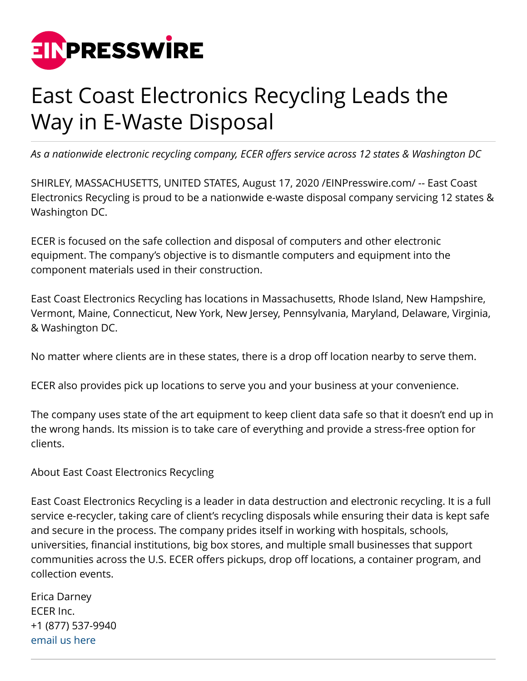

## East Coast Electronics Recycling Leads the Way in E-Waste Disposal

*As a nationwide electronic recycling company, ECER offers service across 12 states & Washington DC*

SHIRLEY, MASSACHUSETTS, UNITED STATES, August 17, 2020 [/EINPresswire.com/](http://www.einpresswire.com) -- East Coast Electronics Recycling is proud to be a nationwide e-waste disposal company servicing 12 states & Washington DC.

ECER is focused on the safe collection and disposal of computers and other electronic equipment. The company's objective is to dismantle computers and equipment into the component materials used in their construction.

East Coast Electronics Recycling has locations in Massachusetts, Rhode Island, New Hampshire, Vermont, Maine, Connecticut, New York, New Jersey, Pennsylvania, Maryland, Delaware, Virginia, & Washington DC.

No matter where clients are in these states, there is a drop off location nearby to serve them.

ECER also provides pick up locations to serve you and your business at your convenience.

The company uses state of the art equipment to keep client data safe so that it doesn't end up in the wrong hands. Its mission is to take care of everything and provide a stress-free option for clients.

About East Coast Electronics Recycling

East Coast Electronics Recycling is a leader in data destruction and electronic recycling. It is a full service e-recycler, taking care of client's recycling disposals while ensuring their data is kept safe and secure in the process. The company prides itself in working with hospitals, schools, universities, financial institutions, big box stores, and multiple small businesses that support communities across the U.S. ECER offers pickups, drop off locations, a container program, and collection events.

Erica Darney ECER Inc. +1 (877) 537-9940 [email us here](http://www.einpresswire.com/contact_author/2910069)